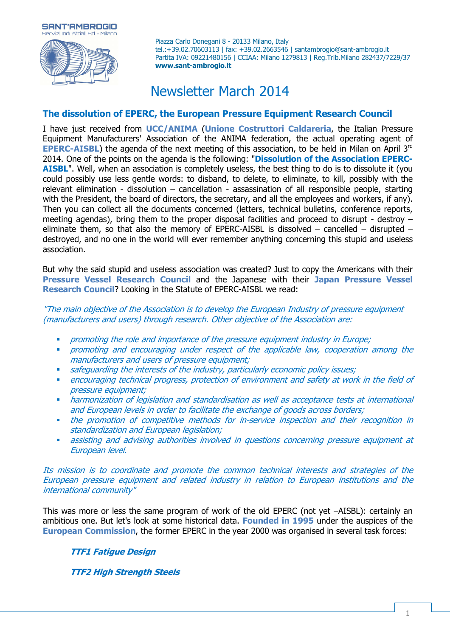**SANT'AMBROGIO** vizi Industriali Sd. - Milano

Piazza Carlo Donegani 8 - 20133 Milano, Italy tel.:+39.02.70603113 | fax: +39.02.2663546 | santambrogio@sant-ambrogio.it Partita IVA: 09221480156 | CCIAA: Milano 1279813 | Reg.Trib.Milano 282437/7229/37 **www.sant-ambrogio.it**

# Newsletter March 2014

## **The dissolution of EPERC, the European Pressure Equipment Research Council**

I have just received from **UCC/ANIMA** (**Unione Costruttori Caldareria**, the Italian Pressure Equipment Manufacturers' Association of the ANIMA federation, the actual operating agent of **EPERC-AISBL**) the agenda of the next meeting of this association, to be held in Milan on April 3<sup>rd</sup> 2014. One of the points on the agenda is the following: "**Dissolution of the Association EPERC-AISBL".** Well, when an association is completely useless, the best thing to do is to dissolute it (you could possibly use less gentle words: to disband, to delete, to eliminate, to kill, possibly with the relevant elimination - dissolution – cancellation - assassination of all responsible people, starting with the President, the board of directors, the secretary, and all the employees and workers, if any). Then you can collect all the documents concerned (letters, technical bulletins, conference reports, meeting agendas), bring them to the proper disposal facilities and proceed to disrupt - destroy – eliminate them, so that also the memory of EPERC-AISBL is dissolved  $-$  cancelled  $-$  disrupted  $$ destroyed, and no one in the world will ever remember anything concerning this stupid and useless association.

But why the said stupid and useless association was created? Just to copy the Americans with their **Pressure Vessel Research Council** and the Japanese with their **Japan Pressure Vessel Research Council**? Looking in the Statute of EPERC-AISBL we read:

"The main objective of the Association is to develop the European Industry of pressure equipment (manufacturers and users) through research. Other objective of the Association are:

- promoting the role and importance of the pressure equipment industry in Europe;
- promoting and encouraging under respect of the applicable law, cooperation among the manufacturers and users of pressure equipment;
- safeguarding the interests of the industry, particularly economic policy issues;
- encouraging technical progress, protection of environment and safety at work in the field of pressure equipment;
- **•** harmonization of legislation and standardisation as well as acceptance tests at international and European levels in order to facilitate the exchange of goods across borders;
- the promotion of competitive methods for in-service inspection and their recognition in standardization and European legislation;
- assisting and advising authorities involved in questions concerning pressure equipment at European level.

Its mission is to coordinate and promote the common technical interests and strategies of the European pressure equipment and related industry in relation to European institutions and the international community"

This was more or less the same program of work of the old EPERC (not yet –AISBL): certainly an ambitious one. But let's look at some historical data. **Founded in 1995** under the auspices of the **European Commission**, the former EPERC in the year 2000 was organised in several task forces:

## **TTF1 Fatigue Design**

**TTF2 High Strength Steels**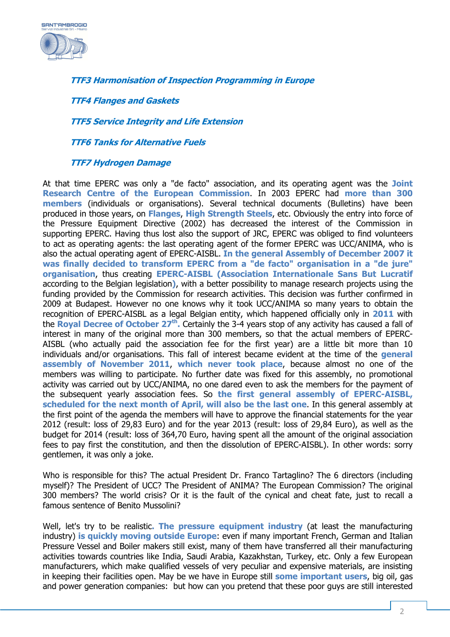

**TTF3 Harmonisation of Inspection Programming in Europe** 

**TTF4 Flanges and Gaskets** 

**TTF5 Service Integrity and Life Extension** 

**TTF6 Tanks for Alternative Fuels** 

#### **TTF7 Hydrogen Damage**

At that time EPERC was only a "de facto" association, and its operating agent was the **Joint Research Centre of the European Commission**. In 2003 EPERC had **more than 300 members** (individuals or organisations). Several technical documents (Bulletins) have been produced in those years, on **Flanges**, **High Strength Steels**, etc. Obviously the entry into force of the Pressure Equipment Directive (2002) has decreased the interest of the Commission in supporting EPERC. Having thus lost also the support of JRC, EPERC was obliged to find volunteers to act as operating agents: the last operating agent of the former EPERC was UCC/ANIMA, who is also the actual operating agent of EPERC-AISBL. **In the general Assembly of December 2007 it was finally decided to transform EPERC from a "de facto" organisation in a "de jure" organisation**, thus creating **EPERC-AISBL (Association Internationale Sans But Lucratif**  according to the Belgian legislation**)**, with a better possibility to manage research projects using the funding provided by the Commission for research activities. This decision was further confirmed in 2009 at Budapest. However no one knows why it took UCC/ANIMA so many years to obtain the recognition of EPERC-AISBL as a legal Belgian entity, which happened officially only in **2011** with the **Royal Decree of October 27th .** Certainly the 3-4 years stop of any activity has caused a fall of interest in many of the original more than 300 members, so that the actual members of EPERC-AISBL (who actually paid the association fee for the first year) are a little bit more than 10 individuals and/or organisations. This fall of interest became evident at the time of the **general assembly of November 2011**, **which never took place**, because almost no one of the members was willing to participate. No further date was fixed for this assembly, no promotional activity was carried out by UCC/ANIMA, no one dared even to ask the members for the payment of the subsequent yearly association fees. So **the first general assembly of EPERC-AISBL, scheduled for the next month of April, will also be the last one**. In this general assembly at the first point of the agenda the members will have to approve the financial statements for the year 2012 (result: loss of 29,83 Euro) and for the year 2013 (result: loss of 29,84 Euro), as well as the budget for 2014 (result: loss of 364,70 Euro, having spent all the amount of the original association fees to pay first the constitution, and then the dissolution of EPERC-AISBL). In other words: sorry gentlemen, it was only a joke.

Who is responsible for this? The actual President Dr. Franco Tartaglino? The 6 directors (including myself)? The President of UCC? The President of ANIMA? The European Commission? The original 300 members? The world crisis? Or it is the fault of the cynical and cheat fate, just to recall a famous sentence of Benito Mussolini?

Well, let's try to be realistic**. The pressure equipment industry** (at least the manufacturing industry) **is quickly moving outside Europe**: even if many important French, German and Italian Pressure Vessel and Boiler makers still exist, many of them have transferred all their manufacturing activities towards countries like India, Saudi Arabia, Kazakhstan, Turkey, etc. Only a few European manufacturers, which make qualified vessels of very peculiar and expensive materials, are insisting in keeping their facilities open. May be we have in Europe still **some important users**, big oil, gas and power generation companies: but how can you pretend that these poor guys are still interested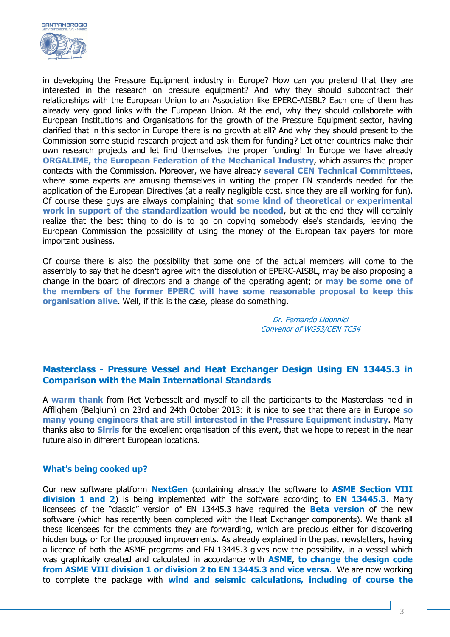

in developing the Pressure Equipment industry in Europe? How can you pretend that they are interested in the research on pressure equipment? And why they should subcontract their relationships with the European Union to an Association like EPERC-AISBL? Each one of them has already very good links with the European Union. At the end, why they should collaborate with European Institutions and Organisations for the growth of the Pressure Equipment sector, having clarified that in this sector in Europe there is no growth at all? And why they should present to the Commission some stupid research project and ask them for funding? Let other countries make their own research projects and let find themselves the proper funding! In Europe we have already **ORGALIME, the European Federation of the Mechanical Industry**, which assures the proper contacts with the Commission. Moreover, we have already **several CEN Technical Committees**, where some experts are amusing themselves in writing the proper EN standards needed for the application of the European Directives (at a really negligible cost, since they are all working for fun). Of course these guys are always complaining that **some kind of theoretical or experimental work in support of the standardization would be needed**, but at the end they will certainly realize that the best thing to do is to go on copying somebody else's standards, leaving the European Commission the possibility of using the money of the European tax payers for more important business.

Of course there is also the possibility that some one of the actual members will come to the assembly to say that he doesn't agree with the dissolution of EPERC-AISBL, may be also proposing a change in the board of directors and a change of the operating agent; or **may be some one of the members of the former EPERC will have some reasonable proposal to keep this organisation alive**. Well, if this is the case, please do something.

> Dr. Fernando Lidonnici Convenor of WG53/CEN TC54

#### **Masterclass - Pressure Vessel and Heat Exchanger Design Using EN 13445.3 in Comparison with the Main International Standards**

A **warm thank** from Piet Verbesselt and myself to all the participants to the Masterclass held in Afflighem (Belgium) on 23rd and 24th October 2013: it is nice to see that there are in Europe **so many young engineers that are still interested in the Pressure Equipment industry**. Many thanks also to **Sirris** for the excellent organisation of this event, that we hope to repeat in the near future also in different European locations.

#### **What's being cooked up?**

Our new software platform **NextGen** (containing already the software to **ASME Section VIII division 1 and 2**) is being implemented with the software according to **EN 13445.3**. Many licensees of the "classic" version of EN 13445.3 have required the **Beta version** of the new software (which has recently been completed with the Heat Exchanger components). We thank all these licensees for the comments they are forwarding, which are precious either for discovering hidden bugs or for the proposed improvements. As already explained in the past newsletters, having a licence of both the ASME programs and EN 13445.3 gives now the possibility, in a vessel which was graphically created and calculated in accordance with **ASME**, **to change the design code from ASME VIII division 1 or division 2 to EN 13445.3 and vice versa**. We are now working to complete the package with **wind and seismic calculations, including of course the**